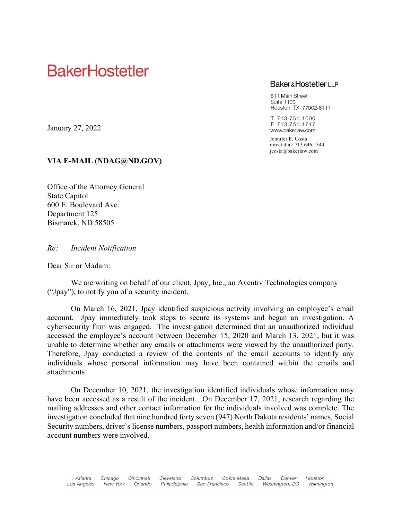# **BakerHostetler**

# **Baker&HostetlerLLP**

811 Main Street **Suite 1100** Houston, TX 77002-6111

T 713.751.1600 F 713.751.1717 www.bakerlaw.com

Jennifer E. Costa direct dial: 713.646.1344 jcosta@bakerlaw.com

January 27, 2022

# VIA E-MAIL (NDAG@ND.GOV)

Office of the Attorney General State Capitol 600 E. Boulevard Ave. Department 125 Bismarck, ND 58505

Re: Incident Notification

Dear Sir or Madam:

We are writing on behalf of our client, Jpay, Inc., an Aventiv Technologies company ("Jpay"), to notify you of a security incident.

On March 16, 2021, Jpay identified suspicious activity involving an employee's email account. Jpay immediately took steps to secure its systems and began an investigation. A cybersecurity firm was engaged. The investigation determined that an unauthorized individual accessed the employee's account between December 15, 2020 and March 13, 2021, but it was unable to determine whether any emails or attachments were viewed by the unauthorized party. Therefore, Jpay conducted a review of the contents of the email accounts to identify any individuals whose personal information may have been contained within the emails and attachments.

On December 10, 2021, the investigation identified individuals whose information may have been accessed as a result of the incident. On December 17, 2021, research regarding the mailing addresses and other contact information for the individuals involved was complete. The investigation concluded that nine hundred forty seven (947) North Dakota residents' names, Social Security numbers, driver's license numbers, passport numbers, health information and/or financial account numbers were involved.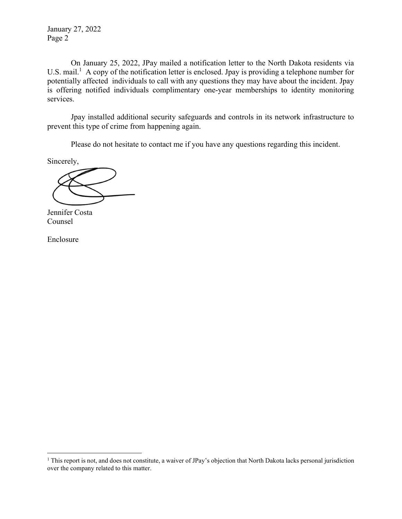January 27, 2022 Page 2

On January 25, 2022, JPay mailed a notification letter to the North Dakota residents via U.S. mail.<sup>1</sup> A copy of the notification letter is enclosed. Jpay is providing a telephone number for potentially affected individuals to call with any questions they may have about the incident. Jpay is offering notified individuals complimentary one-year memberships to identity monitoring services.

Jpay installed additional security safeguards and controls in its network infrastructure to prevent this type of crime from happening again.

Please do not hesitate to contact me if you have any questions regarding this incident.

Sincerely,

Jennifer Costa Counsel

Enclosure

<sup>&</sup>lt;sup>1</sup> This report is not, and does not constitute, a waiver of JPay's objection that North Dakota lacks personal jurisdiction over the company related to this matter.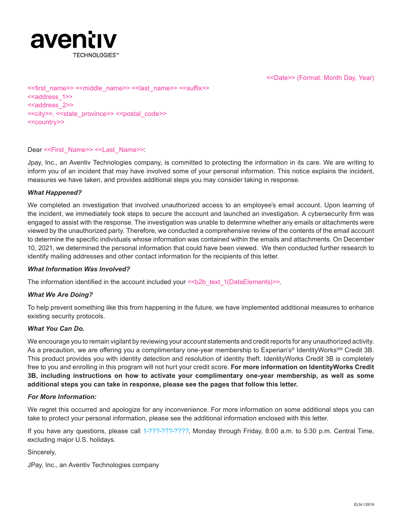

<<Date>> (Format: Month Day, Year)

<<first\_name>> <<middle\_name>> <<last\_name>> <<suffix>> <<address\_1>> <<address\_2>> <<city>>, <<state\_province>> <<postal\_code>> <<country>>

#### Dear <<First\_Name>> <<Last\_Name>>:

Jpay, Inc., an Aventiv Technologies company, is committed to protecting the information in its care. We are writing to inform you of an incident that may have involved some of your personal information. This notice explains the incident, measures we have taken, and provides additional steps you may consider taking in response.

#### *What Happened?*

We completed an investigation that involved unauthorized access to an employee's email account. Upon learning of the incident, we immediately took steps to secure the account and launched an investigation. A cybersecurity firm was engaged to assist with the response. The investigation was unable to determine whether any emails or attachments were viewed by the unauthorized party. Therefore, we conducted a comprehensive review of the contents of the email account to determine the specific individuals whose information was contained within the emails and attachments. On December 10, 2021, we determined the personal information that could have been viewed. We then conducted further research to identify mailing addresses and other contact information for the recipients of this letter.

#### *What Information Was Involved?*

The information identified in the account included your  $\leq b2b$  text  $1(DataElements)$ 

#### *What We Are Doing?*

To help prevent something like this from happening in the future, we have implemented additional measures to enhance existing security protocols.

#### *What You Can Do.*

We encourage you to remain vigilant by reviewing your account statements and credit reports for any unauthorized activity. As a precaution, we are offering you a complimentary one-year membership to Experian's<sup>®</sup> IdentityWorks<sup>SM</sup> Credit 3B. This product provides you with identity detection and resolution of identity theft. IdentityWorks Credit 3B is completely free to you and enrolling in this program will not hurt your credit score. **For more information on IdentityWorks Credit 3B, including instructions on how to activate your complimentary one-year membership, as well as some additional steps you can take in response, please see the pages that follow this letter.**

#### *For More Information:*

We regret this occurred and apologize for any inconvenience. For more information on some additional steps you can take to protect your personal information, please see the additional information enclosed with this letter.

If you have any questions, please call 1-???-???-????, Monday through Friday, 8:00 a.m. to 5:30 p.m. Central Time, excluding major U.S. holidays.

Sincerely,

JPay, Inc., an Aventiv Technologies company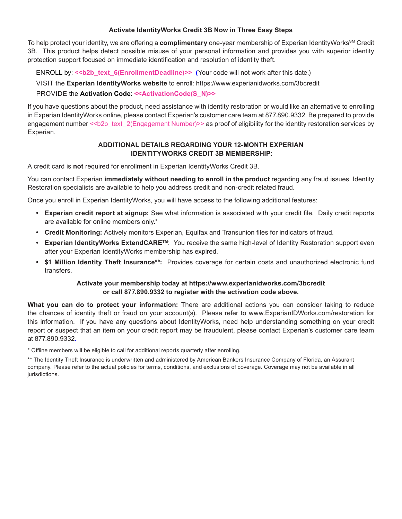## **Activate IdentityWorks Credit 3B Now in Three Easy Steps**

To help protect your identity, we are offering a **complimentary** one-year membership of Experian IdentityWorksSM Credit 3B. This product helps detect possible misuse of your personal information and provides you with superior identity protection support focused on immediate identification and resolution of identity theft.

ENROLL by:  $\le b2b$  text 6(EnrollmentDeadline)>> (Your code will not work after this date.)

VISIT the **Experian IdentityWorks website** to enroll: https://www.experianidworks.com/3bcredit

# PROVIDE the **Activation Code**: **<<ActivationCode(S\_N)>>**

If you have questions about the product, need assistance with identity restoration or would like an alternative to enrolling in Experian IdentityWorks online, please contact Experian's customer care team at 877.890.9332. Be prepared to provide engagement number << b2b\_text\_2(Engagement Number)>> as proof of eligibility for the identity restoration services by Experian.

## **ADDITIONAL DETAILS REGARDING YOUR 12-MONTH EXPERIAN IDENTITYWORKS CREDIT 3B MEMBERSHIP:**

A credit card is **not** required for enrollment in Experian IdentityWorks Credit 3B.

You can contact Experian **immediately without needing to enroll in the product** regarding any fraud issues. Identity Restoration specialists are available to help you address credit and non-credit related fraud.

Once you enroll in Experian IdentityWorks, you will have access to the following additional features:

- **• Experian credit report at signup:** See what information is associated with your credit file. Daily credit reports are available for online members only.\*
- **• Credit Monitoring:** Actively monitors Experian, Equifax and Transunion files for indicators of fraud.
- **• Experian IdentityWorks ExtendCARETM**: You receive the same high-level of Identity Restoration support even after your Experian IdentityWorks membership has expired.
- **• \$1 Million Identity Theft Insurance\*\*:** Provides coverage for certain costs and unauthorized electronic fund transfers.

## **Activate your membership today at https://www.experianidworks.com/3bcredit or call 877.890.9332 to register with the activation code above.**

**What you can do to protect your information:** There are additional actions you can consider taking to reduce the chances of identity theft or fraud on your account(s). Please refer to www.ExperianIDWorks.com/restoration for this information. If you have any questions about IdentityWorks, need help understanding something on your credit report or suspect that an item on your credit report may be fraudulent, please contact Experian's customer care team at 877.890.9332.

\* Offline members will be eligible to call for additional reports quarterly after enrolling.

\*\* The Identity Theft Insurance is underwritten and administered by American Bankers Insurance Company of Florida, an Assurant company. Please refer to the actual policies for terms, conditions, and exclusions of coverage. Coverage may not be available in all jurisdictions.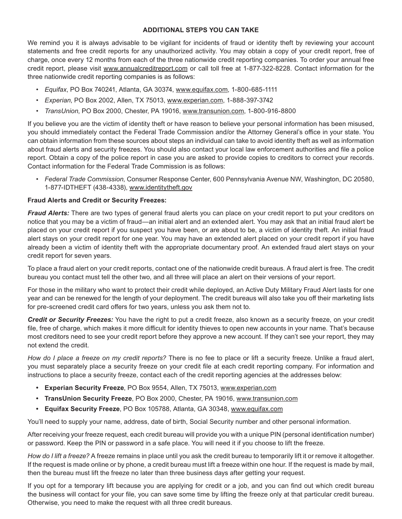## **ADDITIONAL STEPS YOU CAN TAKE**

We remind you it is always advisable to be vigilant for incidents of fraud or identity theft by reviewing your account statements and free credit reports for any unauthorized activity. You may obtain a copy of your credit report, free of charge, once every 12 months from each of the three nationwide credit reporting companies. To order your annual free credit report, please visit www.annualcreditreport.com or call toll free at 1-877-322-8228. Contact information for the three nationwide credit reporting companies is as follows:

- *• Equifax*, PO Box 740241, Atlanta, GA 30374, www.equifax.com, 1-800-685-1111
- *• Experian*, PO Box 2002, Allen, TX 75013, www.experian.com, 1-888-397-3742
- *• TransUnion*, PO Box 2000, Chester, PA 19016, www.transunion.com, 1-800-916-8800

If you believe you are the victim of identity theft or have reason to believe your personal information has been misused, you should immediately contact the Federal Trade Commission and/or the Attorney General's office in your state. You can obtain information from these sources about steps an individual can take to avoid identity theft as well as information about fraud alerts and security freezes. You should also contact your local law enforcement authorities and file a police report. Obtain a copy of the police report in case you are asked to provide copies to creditors to correct your records. Contact information for the Federal Trade Commission is as follows:

*• Federal Trade Commission*, Consumer Response Center, 600 Pennsylvania Avenue NW, Washington, DC 20580, 1-877-IDTHEFT (438-4338), www.identitytheft.gov

## **Fraud Alerts and Credit or Security Freezes:**

*Fraud Alerts:* There are two types of general fraud alerts you can place on your credit report to put your creditors on notice that you may be a victim of fraud—an initial alert and an extended alert. You may ask that an initial fraud alert be placed on your credit report if you suspect you have been, or are about to be, a victim of identity theft. An initial fraud alert stays on your credit report for one year. You may have an extended alert placed on your credit report if you have already been a victim of identity theft with the appropriate documentary proof. An extended fraud alert stays on your credit report for seven years.

To place a fraud alert on your credit reports, contact one of the nationwide credit bureaus. A fraud alert is free. The credit bureau you contact must tell the other two, and all three will place an alert on their versions of your report.

For those in the military who want to protect their credit while deployed, an Active Duty Military Fraud Alert lasts for one year and can be renewed for the length of your deployment. The credit bureaus will also take you off their marketing lists for pre-screened credit card offers for two years, unless you ask them not to.

*Credit or Security Freezes:* You have the right to put a credit freeze, also known as a security freeze, on your credit file, free of charge, which makes it more difficult for identity thieves to open new accounts in your name. That's because most creditors need to see your credit report before they approve a new account. If they can't see your report, they may not extend the credit.

*How do I place a freeze on my credit reports?* There is no fee to place or lift a security freeze. Unlike a fraud alert, you must separately place a security freeze on your credit file at each credit reporting company. For information and instructions to place a security freeze, contact each of the credit reporting agencies at the addresses below:

- **• Experian Security Freeze**, PO Box 9554, Allen, TX 75013, www.experian.com
- **• TransUnion Security Freeze**, PO Box 2000, Chester, PA 19016, www.transunion.com
- **• Equifax Security Freeze**, PO Box 105788, Atlanta, GA 30348, www.equifax.com

You'll need to supply your name, address, date of birth, Social Security number and other personal information.

After receiving your freeze request, each credit bureau will provide you with a unique PIN (personal identification number) or password. Keep the PIN or password in a safe place. You will need it if you choose to lift the freeze.

*How do I lift a freeze?* A freeze remains in place until you ask the credit bureau to temporarily lift it or remove it altogether. If the request is made online or by phone, a credit bureau must lift a freeze within one hour. If the request is made by mail, then the bureau must lift the freeze no later than three business days after getting your request.

If you opt for a temporary lift because you are applying for credit or a job, and you can find out which credit bureau the business will contact for your file, you can save some time by lifting the freeze only at that particular credit bureau. Otherwise, you need to make the request with all three credit bureaus.